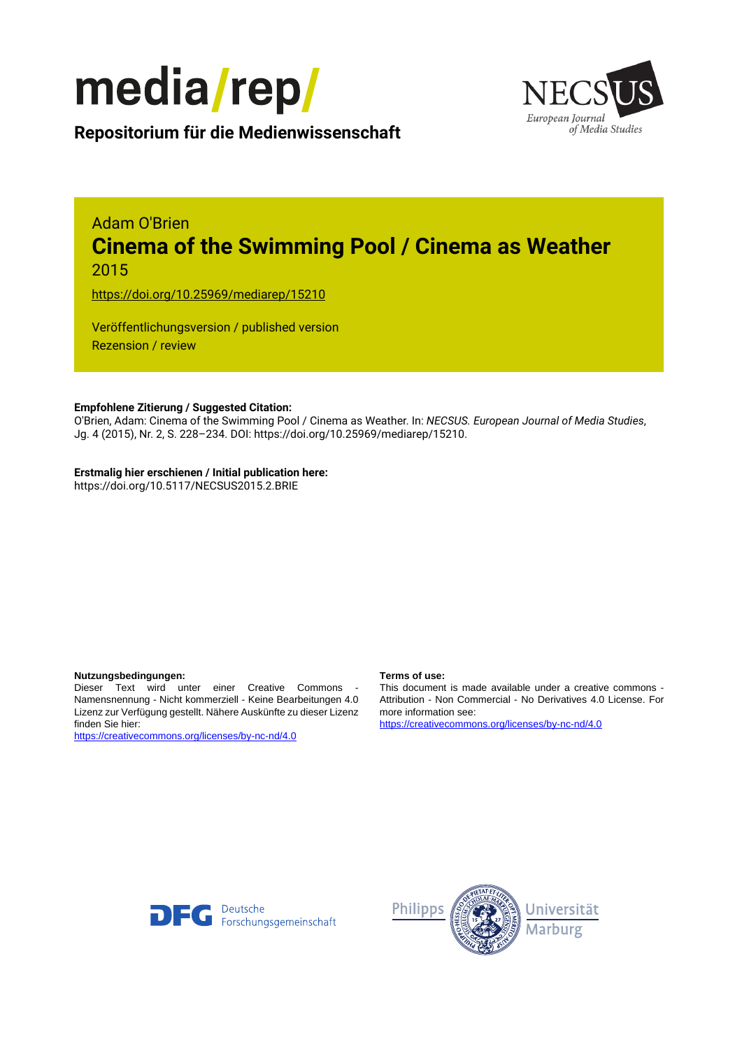



**Repositorium für die [Medienwissenschaft](https://mediarep.org)**

## Adam O'Brien **Cinema of the Swimming Pool / Cinema as Weather** 2015

<https://doi.org/10.25969/mediarep/15210>

Veröffentlichungsversion / published version Rezension / review

## **Empfohlene Zitierung / Suggested Citation:**

O'Brien, Adam: Cinema of the Swimming Pool / Cinema as Weather. In: *NECSUS. European Journal of Media Studies*, Jg. 4 (2015), Nr. 2, S. 228–234. DOI: https://doi.org/10.25969/mediarep/15210.

## **Erstmalig hier erschienen / Initial publication here:**

https://doi.org/10.5117/NECSUS2015.2.BRIE

### **Nutzungsbedingungen: Terms of use:**

Dieser Text wird unter einer Creative Commons - Namensnennung - Nicht kommerziell - Keine Bearbeitungen 4.0 Lizenz zur Verfügung gestellt. Nähere Auskünfte zu dieser Lizenz finden Sie hier:

<https://creativecommons.org/licenses/by-nc-nd/4.0>

This document is made available under a creative commons - Attribution - Non Commercial - No Derivatives 4.0 License. For more information see:

<https://creativecommons.org/licenses/by-nc-nd/4.0>



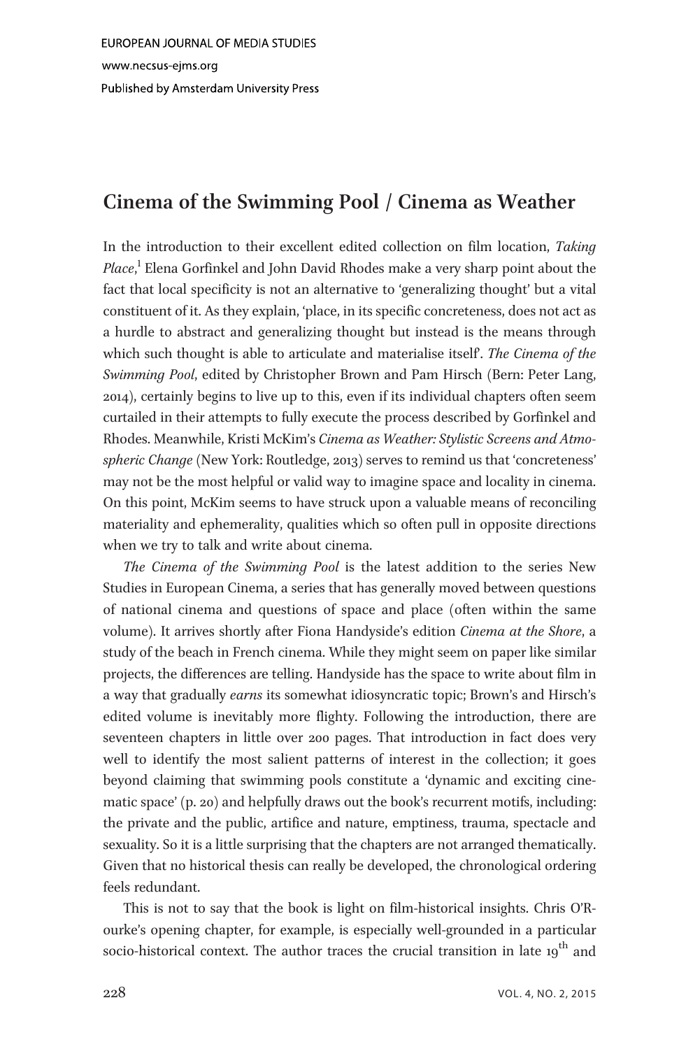EUROPEAN JOURNAL OF MEDIA STUDIES www.necsus-ejms.org Published by Amsterdam University Press

# $\sigma$  /  $\sigma$

In the introduction to their excellent edited collection on film location, Taking Place,<sup>1</sup> Elena Gorfinkel and John David Rhodes make a very sharp point about the fact that local specificity is not an alternative to 'generalizing thought' but a vital constituent of it. As they explain, 'place, in its specific concreteness, does not act as a hurdle to abstract and generalizing thought but instead is the means through which such thought is able to articulate and materialise itself. The Cinema of the Swimming Pool, edited by Christopher Brown and Pam Hirsch (Bern: Peter Lang, 2014), certainly begins to live up to this, even if its individual chapters often seem curtailed in their attempts to fully execute the process described by Gorfinkel and Rhodes. Meanwhile, Kristi McKim's Cinema as Weather: Stylistic Screens and Atmospheric Change (New York: Routledge, 2013) serves to remind us that 'concreteness' may not be the most helpful or valid way to imagine space and locality in cinema. On this point, McKim seems to have struck upon a valuable means of reconciling materiality and ephemerality, qualities which so often pull in opposite directions when we try to talk and write about cinema.

The Cinema of the Swimming Pool is the latest addition to the series New Studies in European Cinema, a series that has generally moved between questions of national cinema and questions of space and place (often within the same volume). It arrives shortly after Fiona Handyside's edition Cinema at the Shore, a study of the beach in French cinema. While they might seem on paper like similar projects, the differences are telling. Handyside has the space to write about film in a way that gradually earns its somewhat idiosyncratic topic; Brown's and Hirsch's edited volume is inevitably more flighty. Following the introduction, there are seventeen chapters in little over 200 pages. That introduction in fact does very well to identify the most salient patterns of interest in the collection; it goes beyond claiming that swimming pools constitute a 'dynamic and exciting cinematic space' (p. 20) and helpfully draws out the book's recurrent motifs, including: the private and the public, artifice and nature, emptiness, trauma, spectacle and sexuality. So it is a little surprising that the chapters are not arranged thematically. Given that no historical thesis can really be developed, the chronological ordering feels redundant.

This is not to say that the book is light on film-historical insights. Chris O'Rourke's opening chapter, for example, is especially well-grounded in a particular socio-historical context. The author traces the crucial transition in late 19<sup>th</sup> and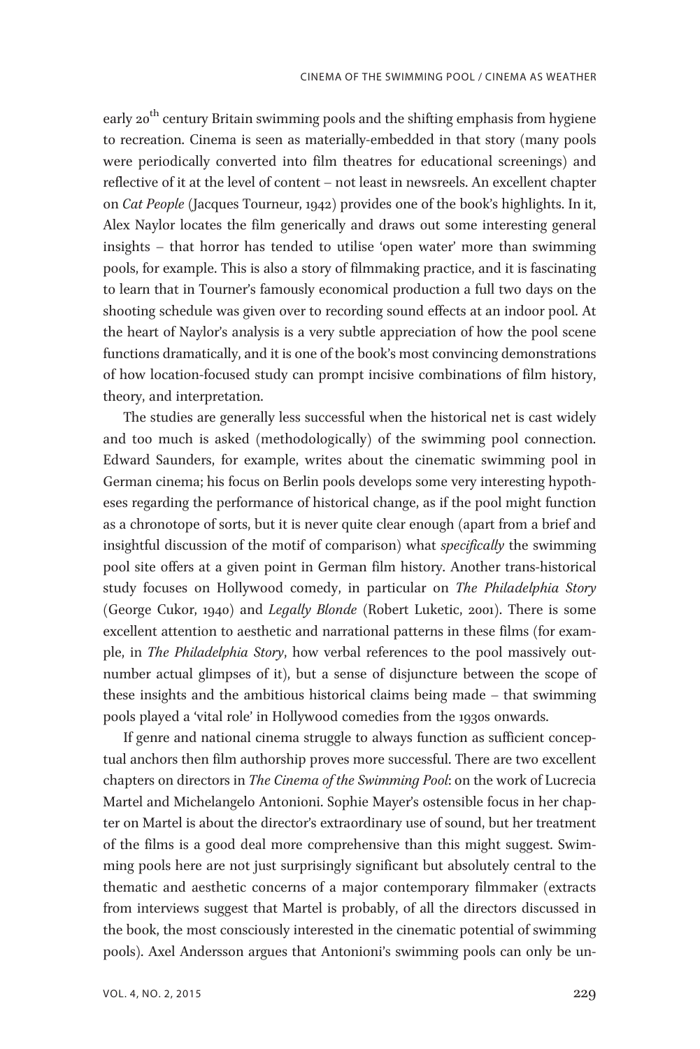early 20<sup>th</sup> century Britain swimming pools and the shifting emphasis from hygiene to recreation. Cinema is seen as materially-embedded in that story (many pools were periodically converted into film theatres for educational screenings) and reflective of it at the level of content – not least in newsreels. An excellent chapter on Cat People (Jacques Tourneur, 1942) provides one of the book's highlights. In it, Alex Naylor locates the film generically and draws out some interesting general insights – that horror has tended to utilise 'open water' more than swimming pools, for example. This is also a story of filmmaking practice, and it is fascinating to learn that in Tourner's famously economical production a full two days on the shooting schedule was given over to recording sound effects at an indoor pool. At the heart of Naylor's analysis is a very subtle appreciation of how the pool scene functions dramatically, and it is one of the book's most convincing demonstrations of how location-focused study can prompt incisive combinations of film history, theory, and interpretation.

The studies are generally less successful when the historical net is cast widely and too much is asked (methodologically) of the swimming pool connection. Edward Saunders, for example, writes about the cinematic swimming pool in German cinema; his focus on Berlin pools develops some very interesting hypotheses regarding the performance of historical change, as if the pool might function as a chronotope of sorts, but it is never quite clear enough (apart from a brief and insightful discussion of the motif of comparison) what specifically the swimming pool site offers at a given point in German film history. Another trans-historical study focuses on Hollywood comedy, in particular on The Philadelphia Story (George Cukor, 1940) and Legally Blonde (Robert Luketic, 2001). There is some excellent attention to aesthetic and narrational patterns in these films (for example, in The Philadelphia Story, how verbal references to the pool massively outnumber actual glimpses of it), but a sense of disjuncture between the scope of these insights and the ambitious historical claims being made – that swimming pools played a 'vital role' in Hollywood comedies from the 1930s onwards.

If genre and national cinema struggle to always function as sufficient conceptual anchors then film authorship proves more successful. There are two excellent chapters on directors in The Cinema of the Swimming Pool: on the work of Lucrecia Martel and Michelangelo Antonioni. Sophie Mayer's ostensible focus in her chapter on Martel is about the director's extraordinary use of sound, but her treatment of the films is a good deal more comprehensive than this might suggest. Swimming pools here are not just surprisingly significant but absolutely central to the thematic and aesthetic concerns of a major contemporary filmmaker (extracts from interviews suggest that Martel is probably, of all the directors discussed in the book, the most consciously interested in the cinematic potential of swimming pools). Axel Andersson argues that Antonioni's swimming pools can only be un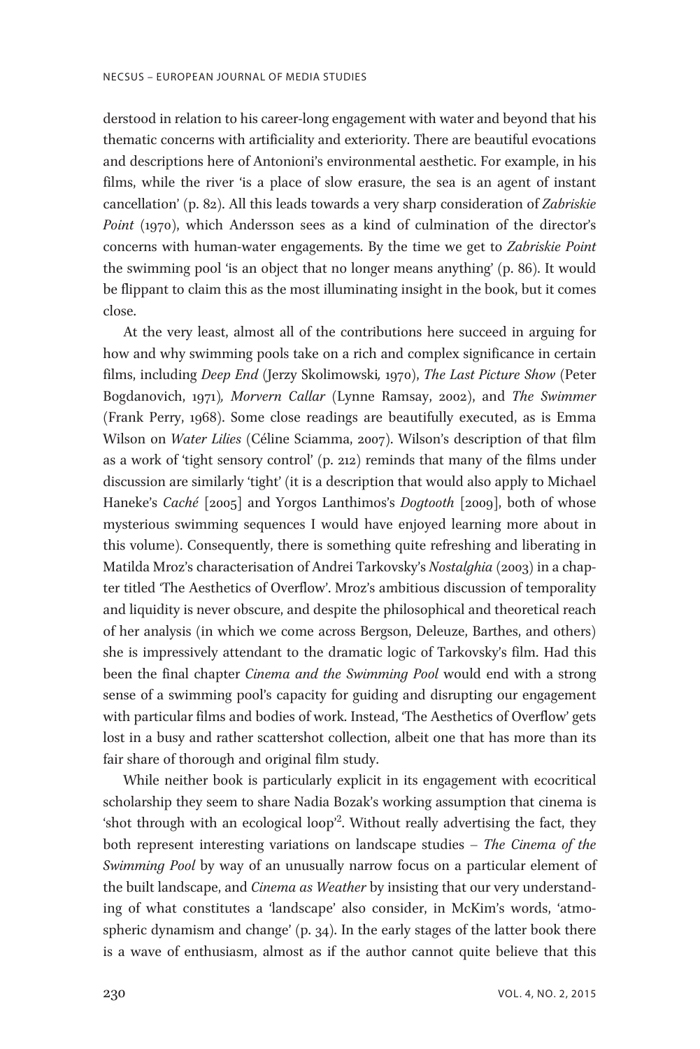derstood in relation to his career-long engagement with water and beyond that his thematic concerns with artificiality and exteriority. There are beautiful evocations and descriptions here of Antonioni's environmental aesthetic. For example, in his films, while the river 'is a place of slow erasure, the sea is an agent of instant cancellation' (p. 82). All this leads towards a very sharp consideration of Zabriskie Point (1970), which Andersson sees as a kind of culmination of the director's concerns with human-water engagements. By the time we get to Zabriskie Point the swimming pool 'is an object that no longer means anything' (p. 86). It would be flippant to claim this as the most illuminating insight in the book, but it comes close.

At the very least, almost all of the contributions here succeed in arguing for how and why swimming pools take on a rich and complex significance in certain films, including Deep End (Jerzy Skolimowski, 1970), The Last Picture Show (Peter Bogdanovich, 1971), Morvern Callar (Lynne Ramsay, 2002), and The Swimmer (Frank Perry, 1968). Some close readings are beautifully executed, as is Emma Wilson on Water Lilies (Céline Sciamma, 2007). Wilson's description of that film as a work of 'tight sensory control' (p. 212) reminds that many of the films under discussion are similarly 'tight' (it is a description that would also apply to Michael Haneke's *Caché* [2005] and Yorgos Lanthimos's *Dogtooth* [2009], both of whose mysterious swimming sequences I would have enjoyed learning more about in this volume). Consequently, there is something quite refreshing and liberating in Matilda Mroz's characterisation of Andrei Tarkovsky's Nostalghia (2003) in a chapter titled 'The Aesthetics of Overflow'. Mroz's ambitious discussion of temporality and liquidity is never obscure, and despite the philosophical and theoretical reach of her analysis (in which we come across Bergson, Deleuze, Barthes, and others) she is impressively attendant to the dramatic logic of Tarkovsky's film. Had this been the final chapter *Cinema and the Swimming Pool* would end with a strong sense of a swimming pool's capacity for guiding and disrupting our engagement with particular films and bodies of work. Instead, 'The Aesthetics of Overflow' gets lost in a busy and rather scattershot collection, albeit one that has more than its fair share of thorough and original film study.

While neither book is particularly explicit in its engagement with ecocritical scholarship they seem to share Nadia Bozak's working assumption that cinema is 'shot through with an ecological loop<sup>2</sup>. Without really advertising the fact, they both represent interesting variations on landscape studies - The Cinema of the Swimming Pool by way of an unusually narrow focus on a particular element of the built landscape, and *Cinema as Weather* by insisting that our very understanding of what constitutes a 'landscape' also consider, in McKim's words, 'atmospheric dynamism and change' (p. 34). In the early stages of the latter book there is a wave of enthusiasm, almost as if the author cannot quite believe that this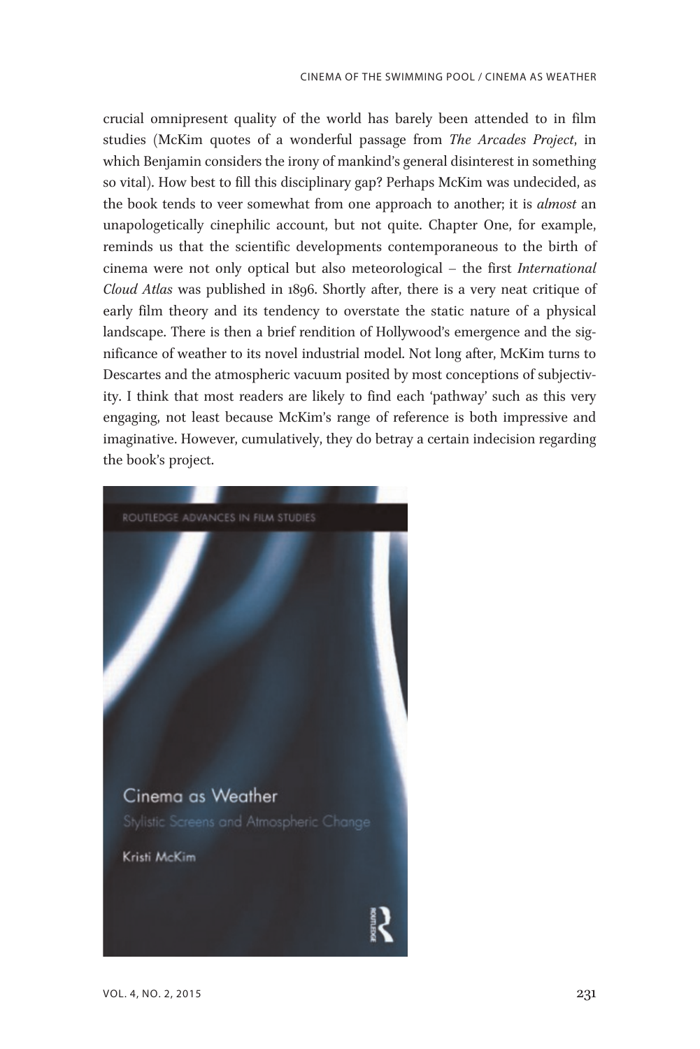crucial omnipresent quality of the world has barely been attended to in film studies (McKim quotes of a wonderful passage from The Arcades Project, in which Benjamin considers the irony of mankind's general disinterest in something so vital). How best to fill this disciplinary gap? Perhaps McKim was undecided, as the book tends to veer somewhat from one approach to another; it is *almost* an unapologetically cinephilic account, but not quite. Chapter One, for example, reminds us that the scientific developments contemporaneous to the birth of cinema were not only optical but also meteorological – the first International Cloud Atlas was published in 1896. Shortly after, there is a very neat critique of early film theory and its tendency to overstate the static nature of a physical landscape. There is then a brief rendition of Hollywood's emergence and the significance of weather to its novel industrial model. Not long after, McKim turns to Descartes and the atmospheric vacuum posited by most conceptions of subjectivity. I think that most readers are likely to find each 'pathway' such as this very engaging, not least because McKim's range of reference is both impressive and imaginative. However, cumulatively, they do betray a certain indecision regarding the book's project.

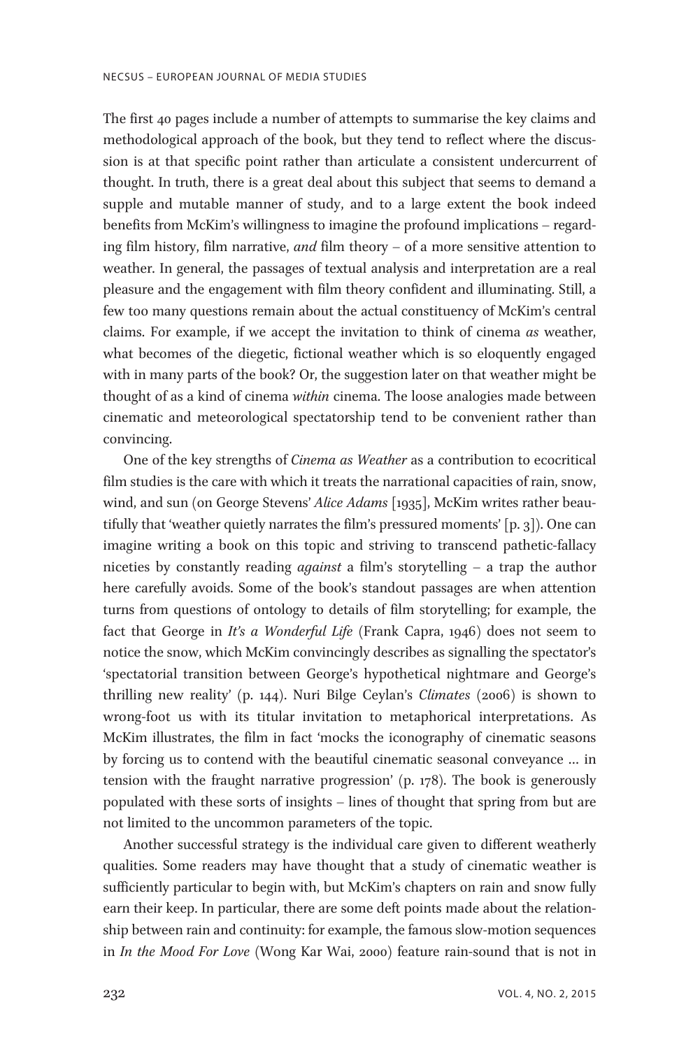The first 40 pages include a number of attempts to summarise the key claims and methodological approach of the book, but they tend to reflect where the discussion is at that specific point rather than articulate a consistent undercurrent of thought. In truth, there is a great deal about this subject that seems to demand a supple and mutable manner of study, and to a large extent the book indeed benefits from McKim's willingness to imagine the profound implications – regarding film history, film narrative, and film theory – of a more sensitive attention to weather. In general, the passages of textual analysis and interpretation are a real pleasure and the engagement with film theory confident and illuminating. Still, a few too many questions remain about the actual constituency of McKim's central claims. For example, if we accept the invitation to think of cinema as weather, what becomes of the diegetic, fictional weather which is so eloquently engaged with in many parts of the book? Or, the suggestion later on that weather might be thought of as a kind of cinema within cinema. The loose analogies made between cinematic and meteorological spectatorship tend to be convenient rather than convincing.

One of the key strengths of Cinema as Weather as a contribution to ecocritical film studies is the care with which it treats the narrational capacities of rain, snow, wind, and sun (on George Stevens' Alice Adams [1935], McKim writes rather beautifully that 'weather quietly narrates the film's pressured moments' [p. 3]). One can imagine writing a book on this topic and striving to transcend pathetic-fallacy niceties by constantly reading against a film's storytelling – a trap the author here carefully avoids. Some of the book's standout passages are when attention turns from questions of ontology to details of film storytelling; for example, the fact that George in It's a Wonderful Life (Frank Capra, 1946) does not seem to notice the snow, which McKim convincingly describes as signalling the spectator's 'spectatorial transition between George's hypothetical nightmare and George's thrilling new reality' (p. 144). Nuri Bilge Ceylan's Climates (2006) is shown to wrong-foot us with its titular invitation to metaphorical interpretations. As McKim illustrates, the film in fact 'mocks the iconography of cinematic seasons by forcing us to contend with the beautiful cinematic seasonal conveyance … in tension with the fraught narrative progression' (p. 178). The book is generously populated with these sorts of insights – lines of thought that spring from but are not limited to the uncommon parameters of the topic.

Another successful strategy is the individual care given to different weatherly qualities. Some readers may have thought that a study of cinematic weather is sufficiently particular to begin with, but McKim's chapters on rain and snow fully earn their keep. In particular, there are some deft points made about the relationship between rain and continuity: for example, the famous slow-motion sequences in In the Mood For Love (Wong Kar Wai, 2000) feature rain-sound that is not in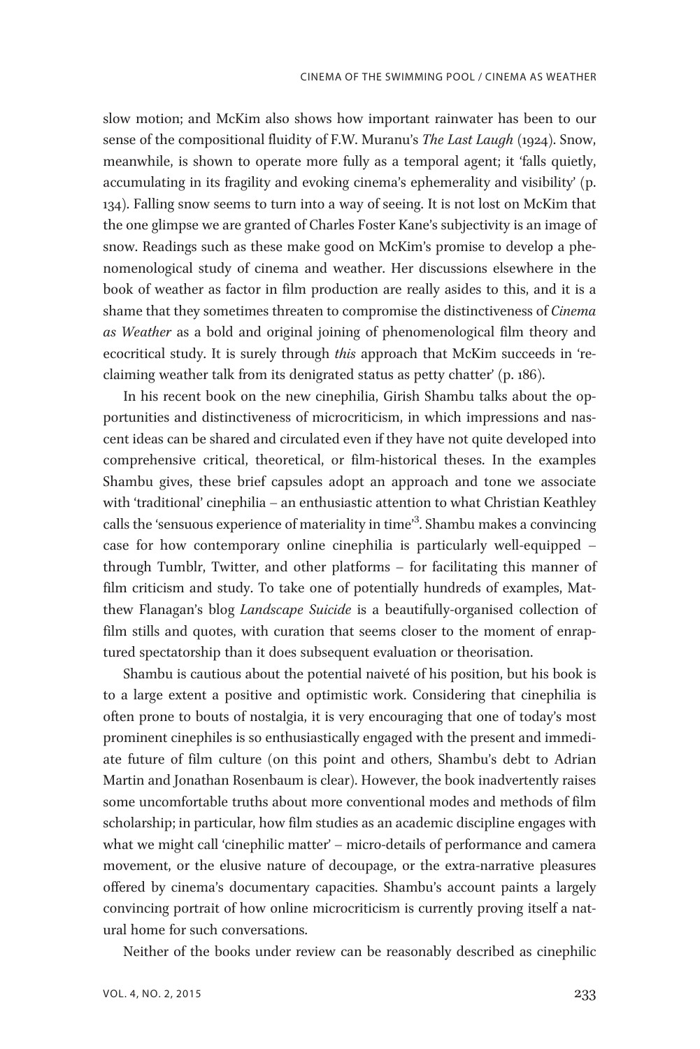slow motion; and McKim also shows how important rainwater has been to our sense of the compositional fluidity of F.W. Muranu's The Last Laugh (1924). Snow, meanwhile, is shown to operate more fully as a temporal agent; it 'falls quietly, accumulating in its fragility and evoking cinema's ephemerality and visibility' (p. 134). Falling snow seems to turn into a way of seeing. It is not lost on McKim that the one glimpse we are granted of Charles Foster Kane's subjectivity is an image of snow. Readings such as these make good on McKim's promise to develop a phenomenological study of cinema and weather. Her discussions elsewhere in the book of weather as factor in film production are really asides to this, and it is a shame that they sometimes threaten to compromise the distinctiveness of Cinema as Weather as a bold and original joining of phenomenological film theory and ecocritical study. It is surely through this approach that McKim succeeds in 'reclaiming weather talk from its denigrated status as petty chatter' (p. 186).

In his recent book on the new cinephilia, Girish Shambu talks about the opportunities and distinctiveness of microcriticism, in which impressions and nascent ideas can be shared and circulated even if they have not quite developed into comprehensive critical, theoretical, or film-historical theses. In the examples Shambu gives, these brief capsules adopt an approach and tone we associate with 'traditional' cinephilia – an enthusiastic attention to what Christian Keathley calls the 'sensuous experience of materiality in time<sup>3</sup>. Shambu makes a convincing case for how contemporary online cinephilia is particularly well-equipped – through Tumblr, Twitter, and other platforms – for facilitating this manner of film criticism and study. To take one of potentially hundreds of examples, Matthew Flanagan's blog Landscape Suicide is a beautifully-organised collection of film stills and quotes, with curation that seems closer to the moment of enraptured spectatorship than it does subsequent evaluation or theorisation.

Shambu is cautious about the potential naiveté of his position, but his book is to a large extent a positive and optimistic work. Considering that cinephilia is often prone to bouts of nostalgia, it is very encouraging that one of today's most prominent cinephiles is so enthusiastically engaged with the present and immediate future of film culture (on this point and others, Shambu's debt to Adrian Martin and Jonathan Rosenbaum is clear). However, the book inadvertently raises some uncomfortable truths about more conventional modes and methods of film scholarship; in particular, how film studies as an academic discipline engages with what we might call 'cinephilic matter' – micro-details of performance and camera movement, or the elusive nature of decoupage, or the extra-narrative pleasures offered by cinema's documentary capacities. Shambu's account paints a largely convincing portrait of how online microcriticism is currently proving itself a natural home for such conversations.

Neither of the books under review can be reasonably described as cinephilic